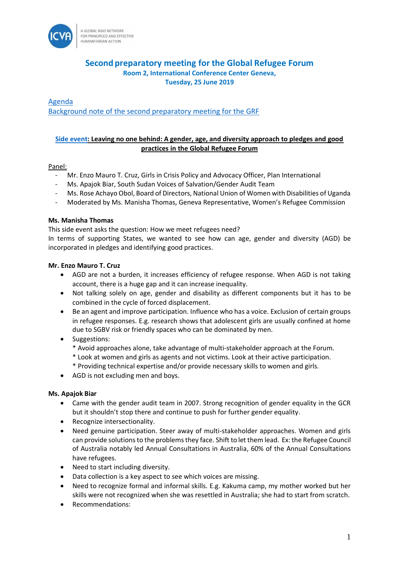

# **Second preparatory meeting for the Global Refugee Forum Room 2, International Conference Center Geneva, Tuesday, 25 June 2019**

[Agenda](https://www.unhcr.org/5cf907e57) [Background note of the second preparatory meeting for the GRF](https://www.unhcr.org/5d0cb6177)

# **[Side event:](https://www.unhcr.org/5d0cb9fd7) Leaving no one behind: A gender, age, and diversity approach to pledges and good practices in the Global Refugee Forum**

## Panel:

- Mr. Enzo Mauro T. Cruz, Girls in Crisis Policy and Advocacy Officer, Plan International
- Ms. Apajok Biar, South Sudan Voices of Salvation/Gender Audit Team
- Ms. Rose Achayo Obol, Board of Directors, National Union of Women with Disabilities of Uganda
- Moderated by Ms. Manisha Thomas, Geneva Representative, Women's Refugee Commission

## **Ms. Manisha Thomas**

This side event asks the question: How we meet refugees need?

In terms of supporting States, we wanted to see how can age, gender and diversity (AGD) be incorporated in pledges and identifying good practices.

## **Mr. Enzo Mauro T. Cruz**

- AGD are not a burden, it increases efficiency of refugee response. When AGD is not taking account, there is a huge gap and it can increase inequality.
- Not talking solely on age, gender and disability as different components but it has to be combined in the cycle of forced displacement.
- Be an agent and improve participation. Influence who has a voice. Exclusion of certain groups in refugee responses. E.g. research shows that adolescent girls are usually confined at home due to SGBV risk or friendly spaces who can be dominated by men.
- Suggestions:
	- \* Avoid approaches alone, take advantage of multi-stakeholder approach at the Forum.
	- \* Look at women and girls as agents and not victims. Look at their active participation.
	- \* Providing technical expertise and/or provide necessary skills to women and girls.
- AGD is not excluding men and boys.

## **Ms. Apajok Biar**

- Came with the gender audit team in 2007. Strong recognition of gender equality in the GCR but it shouldn't stop there and continue to push for further gender equality.
- Recognize intersectionality.
- Need genuine participation. Steer away of multi-stakeholder approaches. Women and girls can provide solutions to the problems they face. Shift to let them lead. Ex: the Refugee Council of Australia notably led Annual Consultations in Australia, 60% of the Annual Consultations have refugees.
- Need to start including diversity.
- Data collection is a key aspect to see which voices are missing.
- Need to recognize formal and informal skills. E.g. Kakuma camp, my mother worked but her skills were not recognized when she was resettled in Australia; she had to start from scratch.
- Recommendations: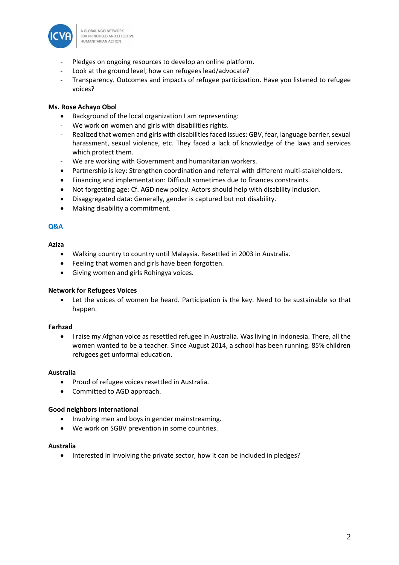

- Pledges on ongoing resources to develop an online platform.
- Look at the ground level, how can refugees lead/advocate?
- Transparency. Outcomes and impacts of refugee participation. Have you listened to refugee voices?

## **Ms. Rose Achayo Obol**

- Background of the local organization I am representing:
- We work on women and girls with disabilities rights.
- Realized that women and girls with disabilities faced issues: GBV, fear, language barrier, sexual harassment, sexual violence, etc. They faced a lack of knowledge of the laws and services which protect them.
- We are working with Government and humanitarian workers.
- Partnership is key: Strengthen coordination and referral with different multi-stakeholders.
- Financing and implementation: Difficult sometimes due to finances constraints.
- Not forgetting age: Cf. AGD new policy. Actors should help with disability inclusion.
- Disaggregated data: Generally, gender is captured but not disability.
- Making disability a commitment.

## **Q&A**

## **Aziza**

- Walking country to country until Malaysia. Resettled in 2003 in Australia.
- Feeling that women and girls have been forgotten.
- Giving women and girls Rohingya voices.

## **Network for Refugees Voices**

Let the voices of women be heard. Participation is the key. Need to be sustainable so that happen.

## **Farhzad**

• I raise my Afghan voice as resettled refugee in Australia. Was living in Indonesia. There, all the women wanted to be a teacher. Since August 2014, a school has been running. 85% children refugees get unformal education.

## **Australia**

- Proud of refugee voices resettled in Australia.
- Committed to AGD approach.

## **Good neighbors international**

- Involving men and boys in gender mainstreaming.
- We work on SGBV prevention in some countries.

## **Australia**

• Interested in involving the private sector, how it can be included in pledges?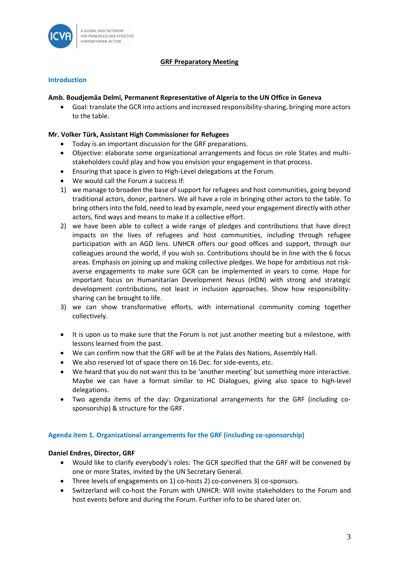

## **GRF Preparatory Meeting**

## **Introduction**

## **Amb. Boudjemâa Delmi, Permanent Representative of Algeria to the UN Office in Geneva**

• Goal: translate the GCR into actions and increased responsibility-sharing, bringing more actors to the table.

## **Mr. Volker Türk, Assistant High Commissioner for Refugees**

- Today is an important discussion for the GRF preparations.
- Objective: elaborate some organizational arrangements and focus on role States and multistakeholders could play and how you envision your engagement in that process.
- Ensuring that space is given to High-Level delegations at the Forum.
- We would call the Forum a success If:
- 1) we manage to broaden the base of support for refugees and host communities, going beyond traditional actors, donor, partners. We all have a role in bringing other actors to the table. To bring others into the fold, need to lead by example, need your engagement directly with other actors, find ways and means to make it a collective effort.
- 2) we have been able to collect a wide range of pledges and contributions that have direct impacts on the lives of refugees and host communities, including through refugee participation with an AGD lens. UNHCR offers our good offices and support, through our colleagues around the world, if you wish so. Contributions should be in line with the 6 focus areas. Emphasis on joining up and making collective pledges. We hope for ambitious not riskaverse engagements to make sure GCR can be implemented in years to come. Hope for important focus on Humanitarian Development Nexus (HDN) with strong and strategic development contributions, not least in inclusion approaches. Show how responsibilitysharing can be brought to life.
- 3) we can show transformative efforts, with international community coming together collectively.
- It is upon us to make sure that the Forum is not just another meeting but a milestone, with lessons learned from the past.
- We can confirm now that the GRF will be at the Palais des Nations, Assembly Hall.
- We also reserved lot of space there on 16 Dec. for side-events, etc.
- We heard that you do not want this to be 'another meeting' but something more interactive. Maybe we can have a format similar to HC Dialogues, giving also space to high-level delegations.
- Two agenda items of the day: Organizational arrangements for the GRF (including cosponsorship) & structure for the GRF.

## **Agenda item 1. Organizational arrangements for the GRF (including co-sponsorship)**

## **Daniel Endres, Director, GRF**

- Would like to clarify everybody's roles: The GCR specified that the GRF will be convened by one or more States, invited by the UN Secretary General.
- Three levels of engagements on 1) co-hosts 2) co-conveners 3) co-sponsors.
- Switzerland will co-host the Forum with UNHCR: Will invite stakeholders to the Forum and host events before and during the Forum. Further info to be shared later on.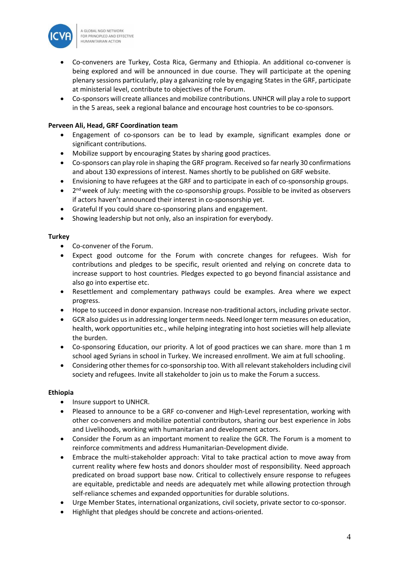

- Co-conveners are Turkey, Costa Rica, Germany and Ethiopia. An additional co-convener is being explored and will be announced in due course. They will participate at the opening plenary sessions particularly, play a galvanizing role by engaging States in the GRF, participate at ministerial level, contribute to objectives of the Forum.
- Co-sponsors will create alliances and mobilize contributions. UNHCR will play a role to support in the 5 areas, seek a regional balance and encourage host countries to be co-sponsors.

## **Perveen Ali, Head, GRF Coordination team**

- Engagement of co-sponsors can be to lead by example, significant examples done or significant contributions.
- Mobilize support by encouraging States by sharing good practices.
- Co-sponsors can play role in shaping the GRF program. Received so far nearly 30 confirmations and about 130 expressions of interest. Names shortly to be published on GRF website.
- Envisioning to have refugees at the GRF and to participate in each of co-sponsorship groups.
- $\bullet$ 2<sup>nd</sup> week of July: meeting with the co-sponsorship groups. Possible to be invited as observers if actors haven't announced their interest in co-sponsorship yet.
- Grateful If you could share co-sponsoring plans and engagement.
- Showing leadership but not only, also an inspiration for everybody.

#### **Turkey**

- Co-convener of the Forum.
- Expect good outcome for the Forum with concrete changes for refugees. Wish for contributions and pledges to be specific, result oriented and relying on concrete data to increase support to host countries. Pledges expected to go beyond financial assistance and also go into expertise etc.
- Resettlement and complementary pathways could be examples. Area where we expect progress.
- Hope to succeed in donor expansion. Increase non-traditional actors, including private sector.
- GCR also guides us in addressing longer term needs. Need longer term measures on education, health, work opportunities etc., while helping integrating into host societies will help alleviate the burden.
- Co-sponsoring Education, our priority. A lot of good practices we can share. more than 1 m school aged Syrians in school in Turkey. We increased enrollment. We aim at full schooling.
- Considering other themes for co-sponsorship too. With all relevant stakeholders including civil society and refugees. Invite all stakeholder to join us to make the Forum a success.

## **Ethiopia**

- Insure support to UNHCR.
- Pleased to announce to be a GRF co-convener and High-Level representation, working with other co-conveners and mobilize potential contributors, sharing our best experience in Jobs and Livelihoods, working with humanitarian and development actors.
- Consider the Forum as an important moment to realize the GCR. The Forum is a moment to reinforce commitments and address Humanitarian-Development divide.
- Embrace the multi-stakeholder approach: Vital to take practical action to move away from current reality where few hosts and donors shoulder most of responsibility. Need approach predicated on broad support base now. Critical to collectively ensure response to refugees are equitable, predictable and needs are adequately met while allowing protection through self-reliance schemes and expanded opportunities for durable solutions.
- Urge Member States, international organizations, civil society, private sector to co-sponsor.
- Highlight that pledges should be concrete and actions-oriented.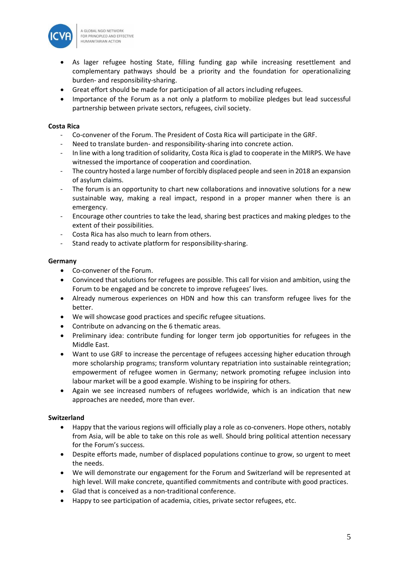

- As lager refugee hosting State, filling funding gap while increasing resettlement and complementary pathways should be a priority and the foundation for operationalizing burden- and responsibility-sharing.
- Great effort should be made for participation of all actors including refugees.
- Importance of the Forum as a not only a platform to mobilize pledges but lead successful partnership between private sectors, refugees, civil society.

## **Costa Rica**

- Co-convener of the Forum. The President of Costa Rica will participate in the GRF.
- Need to translate burden- and responsibility-sharing into concrete action.
- In line with a long tradition of solidarity, Costa Rica is glad to cooperate in the MIRPS. We have witnessed the importance of cooperation and coordination.
- The country hosted a large number of forcibly displaced people and seen in 2018 an expansion of asylum claims.
- The forum is an opportunity to chart new collaborations and innovative solutions for a new sustainable way, making a real impact, respond in a proper manner when there is an emergency.
- Encourage other countries to take the lead, sharing best practices and making pledges to the extent of their possibilities.
- Costa Rica has also much to learn from others.
- Stand ready to activate platform for responsibility-sharing.

## **Germany**

- Co-convener of the Forum.
- Convinced that solutions for refugees are possible. This call for vision and ambition, using the Forum to be engaged and be concrete to improve refugees' lives.
- Already numerous experiences on HDN and how this can transform refugee lives for the better.
- We will showcase good practices and specific refugee situations.
- Contribute on advancing on the 6 thematic areas.
- Preliminary idea: contribute funding for longer term job opportunities for refugees in the Middle East.
- Want to use GRF to increase the percentage of refugees accessing higher education through more scholarship programs; transform voluntary repatriation into sustainable reintegration; empowerment of refugee women in Germany; network promoting refugee inclusion into labour market will be a good example. Wishing to be inspiring for others.
- Again we see increased numbers of refugees worldwide, which is an indication that new approaches are needed, more than ever.

# **Switzerland**

- Happy that the various regions will officially play a role as co-conveners. Hope others, notably from Asia, will be able to take on this role as well. Should bring political attention necessary for the Forum's success.
- Despite efforts made, number of displaced populations continue to grow, so urgent to meet the needs.
- We will demonstrate our engagement for the Forum and Switzerland will be represented at high level. Will make concrete, quantified commitments and contribute with good practices.
- Glad that is conceived as a non-traditional conference.
- Happy to see participation of academia, cities, private sector refugees, etc.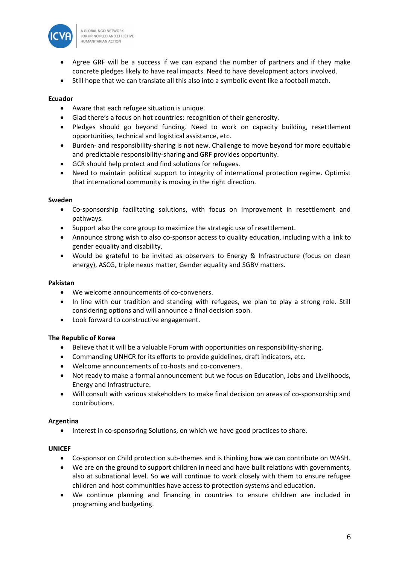

- Agree GRF will be a success if we can expand the number of partners and if they make concrete pledges likely to have real impacts. Need to have development actors involved.
- Still hope that we can translate all this also into a symbolic event like a football match.

## **Ecuador**

- Aware that each refugee situation is unique.
- Glad there's a focus on hot countries: recognition of their generosity.
- Pledges should go beyond funding. Need to work on capacity building, resettlement opportunities, technical and logistical assistance, etc.
- Burden- and responsibility-sharing is not new. Challenge to move beyond for more equitable and predictable responsibility-sharing and GRF provides opportunity.
- GCR should help protect and find solutions for refugees.
- Need to maintain political support to integrity of international protection regime. Optimist that international community is moving in the right direction.

#### **Sweden**

- Co-sponsorship facilitating solutions, with focus on improvement in resettlement and pathways.
- Support also the core group to maximize the strategic use of resettlement.
- Announce strong wish to also co-sponsor access to quality education, including with a link to gender equality and disability.
- Would be grateful to be invited as observers to Energy & Infrastructure (focus on clean energy), ASCG, triple nexus matter, Gender equality and SGBV matters.

#### **Pakistan**

- We welcome announcements of co-conveners.
- In line with our tradition and standing with refugees, we plan to play a strong role. Still considering options and will announce a final decision soon.
- Look forward to constructive engagement.

## **The Republic of Korea**

- Believe that it will be a valuable Forum with opportunities on responsibility-sharing.
- Commanding UNHCR for its efforts to provide guidelines, draft indicators, etc.
- Welcome announcements of co-hosts and co-conveners.
- Not ready to make a formal announcement but we focus on Education, Jobs and Livelihoods, Energy and Infrastructure.
- Will consult with various stakeholders to make final decision on areas of co-sponsorship and contributions.

## **Argentina**

• Interest in co-sponsoring Solutions, on which we have good practices to share.

#### **UNICEF**

- Co-sponsor on Child protection sub-themes and is thinking how we can contribute on WASH.
- We are on the ground to support children in need and have built relations with governments, also at subnational level. So we will continue to work closely with them to ensure refugee children and host communities have access to protection systems and education.
- We continue planning and financing in countries to ensure children are included in programing and budgeting.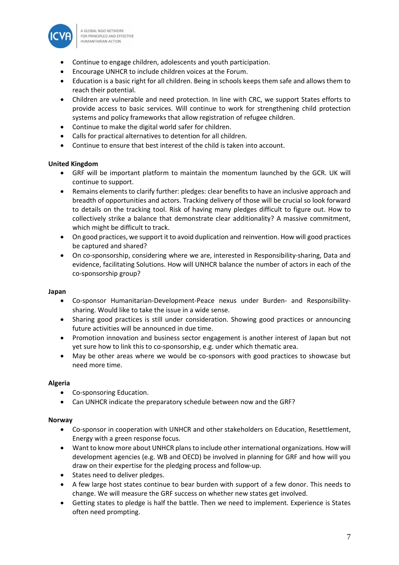

- Continue to engage children, adolescents and youth participation.
- Encourage UNHCR to include children voices at the Forum.
- Education is a basic right for all children. Being in schools keeps them safe and allows them to reach their potential.
- Children are vulnerable and need protection. In line with CRC, we support States efforts to provide access to basic services. Will continue to work for strengthening child protection systems and policy frameworks that allow registration of refugee children.
- Continue to make the digital world safer for children.
- Calls for practical alternatives to detention for all children.
- Continue to ensure that best interest of the child is taken into account.

## **United Kingdom**

- GRF will be important platform to maintain the momentum launched by the GCR. UK will continue to support.
- Remains elements to clarify further: pledges: clear benefits to have an inclusive approach and breadth of opportunities and actors. Tracking delivery of those will be crucial so look forward to details on the tracking tool. Risk of having many pledges difficult to figure out. How to collectively strike a balance that demonstrate clear additionality? A massive commitment, which might be difficult to track.
- On good practices, we support it to avoid duplication and reinvention. How will good practices be captured and shared?
- On co-sponsorship, considering where we are, interested in Responsibility-sharing, Data and evidence, facilitating Solutions. How will UNHCR balance the number of actors in each of the co-sponsorship group?

## **Japan**

- Co-sponsor Humanitarian-Development-Peace nexus under Burden- and Responsibilitysharing. Would like to take the issue in a wide sense.
- Sharing good practices is still under consideration. Showing good practices or announcing future activities will be announced in due time.
- Promotion innovation and business sector engagement is another interest of Japan but not yet sure how to link this to co-sponsorship, e.g. under which thematic area.
- May be other areas where we would be co-sponsors with good practices to showcase but need more time.

## **Algeria**

- Co-sponsoring Education.
- Can UNHCR indicate the preparatory schedule between now and the GRF?

## **Norway**

- Co-sponsor in cooperation with UNHCR and other stakeholders on Education, Resettlement, Energy with a green response focus.
- Want to know more about UNHCR plans to include other international organizations. How will development agencies (e.g. WB and OECD) be involved in planning for GRF and how will you draw on their expertise for the pledging process and follow-up.
- States need to deliver pledges.
- A few large host states continue to bear burden with support of a few donor. This needs to change. We will measure the GRF success on whether new states get involved.
- Getting states to pledge is half the battle. Then we need to implement. Experience is States often need prompting.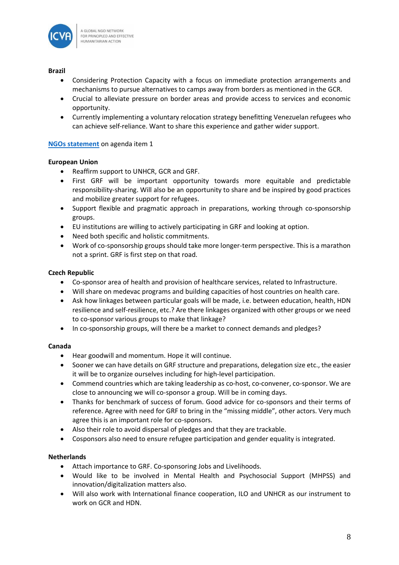

## **Brazil**

- Considering Protection Capacity with a focus on immediate protection arrangements and mechanisms to pursue alternatives to camps away from borders as mentioned in the GCR.
- Crucial to alleviate pressure on border areas and provide access to services and economic opportunity.
- Currently implementing a voluntary relocation strategy benefitting Venezuelan refugees who can achieve self-reliance. Want to share this experience and gather wider support.

## **[NGOs statement](https://www.icvanetwork.org/resources/grf-june-2019-ngo-statement-organisational-arrangments)** on agenda item 1

## **European Union**

- Reaffirm support to UNHCR, GCR and GRF.
- First GRF will be important opportunity towards more equitable and predictable responsibility-sharing. Will also be an opportunity to share and be inspired by good practices and mobilize greater support for refugees.
- Support flexible and pragmatic approach in preparations, working through co-sponsorship groups.
- EU institutions are willing to actively participating in GRF and looking at option.
- Need both specific and holistic commitments.
- Work of co-sponsorship groups should take more longer-term perspective. This is a marathon not a sprint. GRF is first step on that road.

## **Czech Republic**

- Co-sponsor area of health and provision of healthcare services, related to Infrastructure.
- Will share on medevac programs and building capacities of host countries on health care.
- Ask how linkages between particular goals will be made, i.e. between education, health, HDN resilience and self-resilience, etc.? Are there linkages organized with other groups or we need to co-sponsor various groups to make that linkage?
- In co-sponsorship groups, will there be a market to connect demands and pledges?

## **Canada**

- Hear goodwill and momentum. Hope it will continue.
- Sooner we can have details on GRF structure and preparations, delegation size etc., the easier it will be to organize ourselves including for high-level participation.
- Commend countries which are taking leadership as co-host, co-convener, co-sponsor. We are close to announcing we will co-sponsor a group. Will be in coming days.
- Thanks for benchmark of success of forum. Good advice for co-sponsors and their terms of reference. Agree with need for GRF to bring in the "missing middle", other actors. Very much agree this is an important role for co-sponsors.
- Also their role to avoid dispersal of pledges and that they are trackable.
- Cosponsors also need to ensure refugee participation and gender equality is integrated.

## **Netherlands**

- Attach importance to GRF. Co-sponsoring Jobs and Livelihoods.
- Would like to be involved in Mental Health and Psychosocial Support (MHPSS) and innovation/digitalization matters also.
- Will also work with International finance cooperation, ILO and UNHCR as our instrument to work on GCR and HDN.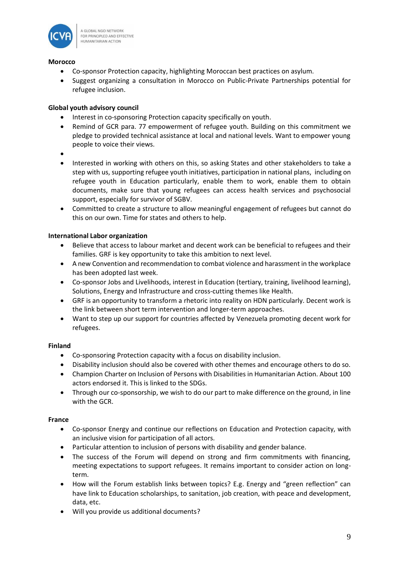

#### **Morocco**

- Co-sponsor Protection capacity, highlighting Moroccan best practices on asylum.
- Suggest organizing a consultation in Morocco on Public-Private Partnerships potential for refugee inclusion.

## **Global youth advisory council**

- Interest in co-sponsoring Protection capacity specifically on youth.
- Remind of GCR para. 77 empowerment of refugee youth. Building on this commitment we pledge to provided technical assistance at local and national levels. Want to empower young people to voice their views.
- •
- Interested in working with others on this, so asking States and other stakeholders to take a step with us, supporting refugee youth initiatives, participation in national plans, including on refugee youth in Education particularly, enable them to work, enable them to obtain documents, make sure that young refugees can access health services and psychosocial support, especially for survivor of SGBV.
- Committed to create a structure to allow meaningful engagement of refugees but cannot do this on our own. Time for states and others to help.

## **International Labor organization**

- Believe that access to labour market and decent work can be beneficial to refugees and their families. GRF is key opportunity to take this ambition to next level.
- A new Convention and recommendation to combat violence and harassment in the workplace has been adopted last week.
- Co-sponsor Jobs and Livelihoods, interest in Education (tertiary, training, livelihood learning), Solutions, Energy and Infrastructure and cross-cutting themes like Health.
- GRF is an opportunity to transform a rhetoric into reality on HDN particularly. Decent work is the link between short term intervention and longer-term approaches.
- Want to step up our support for countries affected by Venezuela promoting decent work for refugees.

## **Finland**

- Co-sponsoring Protection capacity with a focus on disability inclusion.
- Disability inclusion should also be covered with other themes and encourage others to do so.
- Champion Charter on Inclusion of Persons with Disabilities in Humanitarian Action. About 100 actors endorsed it. This is linked to the SDGs.
- Through our co-sponsorship, we wish to do our part to make difference on the ground, in line with the GCR.

## **France**

- Co-sponsor Energy and continue our reflections on Education and Protection capacity, with an inclusive vision for participation of all actors.
- Particular attention to inclusion of persons with disability and gender balance.
- The success of the Forum will depend on strong and firm commitments with financing, meeting expectations to support refugees. It remains important to consider action on longterm.
- How will the Forum establish links between topics? E.g. Energy and "green reflection" can have link to Education scholarships, to sanitation, job creation, with peace and development, data, etc.
- Will you provide us additional documents?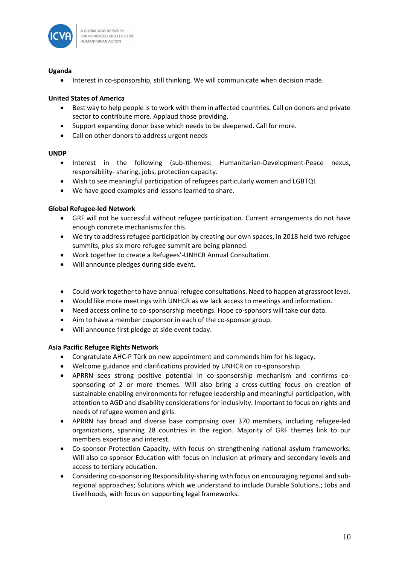

## **Uganda**

• Interest in co-sponsorship, still thinking. We will communicate when decision made.

## **United States of America**

- Best way to help people is to work with them in affected countries. Call on donors and private sector to contribute more. Applaud those providing.
- Support expanding donor base which needs to be deepened. Call for more.
- Call on other donors to address urgent needs

## **UNDP**

- Interest in the following (sub-)themes: Humanitarian-Development-Peace nexus, responsibility- sharing, jobs, protection capacity.
- Wish to see meaningful participation of refugees particularly women and LGBTQI.
- We have good examples and lessons learned to share.

## **Global Refugee-led Network**

- GRF will not be successful without refugee participation. Current arrangements do not have enough concrete mechanisms for this.
- We try to address refugee participation by creating our own spaces, in 2018 held two refugee summits, plus six more refugee summit are being planned.
- Work together to create a Refugees'-UNHCR Annual Consultation.
- Will announce pledges during side event.
- Could work together to have annual refugee consultations. Need to happen at grassroot level.
- Would like more meetings with UNHCR as we lack access to meetings and information.
- Need access online to co-sponsorship meetings. Hope co-sponsors will take our data.
- Aim to have a member cosponsor in each of the co-sponsor group.
- Will announce first pledge at side event today.

## **Asia Pacific Refugee Rights Network**

- Congratulate AHC-P Türk on new appointment and commends him for his legacy.
- Welcome guidance and clarifications provided by UNHCR on co-sponsorship.
- APRRN sees strong positive potential in co-sponsorship mechanism and confirms cosponsoring of 2 or more themes. Will also bring a cross-cutting focus on creation of sustainable enabling environments for refugee leadership and meaningful participation, with attention to AGD and disability considerations for inclusivity. Important to focus on rights and needs of refugee women and girls.
- APRRN has broad and diverse base comprising over 370 members, including refugee-led organizations, spanning 28 countries in the region. Majority of GRF themes link to our members expertise and interest.
- Co-sponsor Protection Capacity, with focus on strengthening national asylum frameworks. Will also co-sponsor Education with focus on inclusion at primary and secondary levels and access to tertiary education.
- Considering co-sponsoring Responsibility-sharing with focus on encouraging regional and subregional approaches; Solutions which we understand to include Durable Solutions.; Jobs and Livelihoods, with focus on supporting legal frameworks.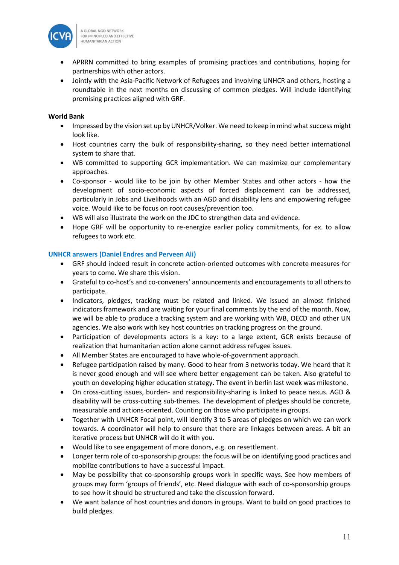

- APRRN committed to bring examples of promising practices and contributions, hoping for partnerships with other actors.
- Jointly with the Asia-Pacific Network of Refugees and involving UNHCR and others, hosting a roundtable in the next months on discussing of common pledges. Will include identifying promising practices aligned with GRF.

## **World Bank**

- Impressed by the vision set up by UNHCR/Volker. We need to keep in mind what success might look like.
- Host countries carry the bulk of responsibility-sharing, so they need better international system to share that.
- WB committed to supporting GCR implementation. We can maximize our complementary approaches.
- Co-sponsor would like to be join by other Member States and other actors how the development of socio-economic aspects of forced displacement can be addressed, particularly in Jobs and Livelihoods with an AGD and disability lens and empowering refugee voice. Would like to be focus on root causes/prevention too.
- WB will also illustrate the work on the JDC to strengthen data and evidence.
- Hope GRF will be opportunity to re-energize earlier policy commitments, for ex. to allow refugees to work etc.

## **UNHCR answers (Daniel Endres and Perveen Ali)**

- GRF should indeed result in concrete action-oriented outcomes with concrete measures for years to come. We share this vision.
- Grateful to co-host's and co-conveners' announcements and encouragements to all others to participate.
- Indicators, pledges, tracking must be related and linked. We issued an almost finished indicators framework and are waiting for your final comments by the end of the month. Now, we will be able to produce a tracking system and are working with WB, OECD and other UN agencies. We also work with key host countries on tracking progress on the ground.
- Participation of developments actors is a key: to a large extent, GCR exists because of realization that humanitarian action alone cannot address refugee issues.
- All Member States are encouraged to have whole-of-government approach.
- Refugee participation raised by many. Good to hear from 3 networks today. We heard that it is never good enough and will see where better engagement can be taken. Also grateful to youth on developing higher education strategy. The event in berlin last week was milestone.
- On cross-cutting issues, burden- and responsibility-sharing is linked to peace nexus. AGD & disability will be cross-cutting sub-themes. The development of pledges should be concrete, measurable and actions-oriented. Counting on those who participate in groups.
- Together with UNHCR Focal point, will identify 3 to 5 areas of pledges on which we can work towards. A coordinator will help to ensure that there are linkages between areas. A bit an iterative process but UNHCR will do it with you.
- Would like to see engagement of more donors, e.g. on resettlement.
- Longer term role of co-sponsorship groups: the focus will be on identifying good practices and mobilize contributions to have a successful impact.
- May be possibility that co-sponsorship groups work in specific ways. See how members of groups may form 'groups of friends', etc. Need dialogue with each of co-sponsorship groups to see how it should be structured and take the discussion forward.
- We want balance of host countries and donors in groups. Want to build on good practices to build pledges.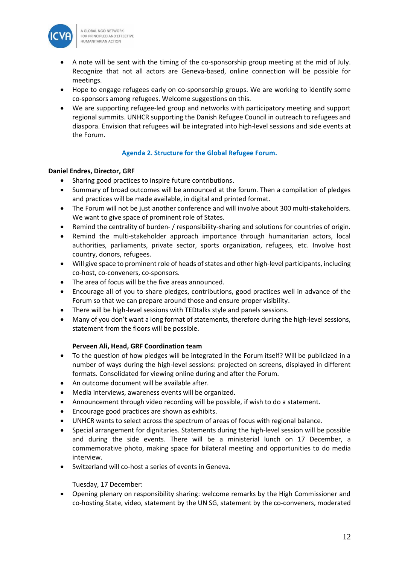

- A note will be sent with the timing of the co-sponsorship group meeting at the mid of July. Recognize that not all actors are Geneva-based, online connection will be possible for meetings.
- Hope to engage refugees early on co-sponsorship groups. We are working to identify some co-sponsors among refugees. Welcome suggestions on this.
- We are supporting refugee-led group and networks with participatory meeting and support regional summits. UNHCR supporting the Danish Refugee Council in outreach to refugees and diaspora. Envision that refugees will be integrated into high-level sessions and side events at the Forum.

## **Agenda 2. Structure for the Global Refugee Forum.**

## **Daniel Endres, Director, GRF**

- Sharing good practices to inspire future contributions.
- Summary of broad outcomes will be announced at the forum. Then a compilation of pledges and practices will be made available, in digital and printed format.
- The Forum will not be just another conference and will involve about 300 multi-stakeholders. We want to give space of prominent role of States.
- Remind the centrality of burden- / responsibility-sharing and solutions for countries of origin.
- Remind the multi-stakeholder approach importance through humanitarian actors, local authorities, parliaments, private sector, sports organization, refugees, etc. Involve host country, donors, refugees.
- Will give space to prominent role of heads of states and other high-level participants, including co-host, co-conveners, co-sponsors.
- The area of focus will be the five areas announced.
- Encourage all of you to share pledges, contributions, good practices well in advance of the Forum so that we can prepare around those and ensure proper visibility.
- There will be high-level sessions with TEDtalks style and panels sessions.
- Many of you don't want a long format of statements, therefore during the high-level sessions, statement from the floors will be possible.

## **Perveen Ali, Head, GRF Coordination team**

- To the question of how pledges will be integrated in the Forum itself? Will be publicized in a number of ways during the high-level sessions: projected on screens, displayed in different formats. Consolidated for viewing online during and after the Forum.
- An outcome document will be available after.
- Media interviews, awareness events will be organized.
- Announcement through video recording will be possible, if wish to do a statement.
- Encourage good practices are shown as exhibits.
- UNHCR wants to select across the spectrum of areas of focus with regional balance.
- Special arrangement for dignitaries. Statements during the high-level session will be possible and during the side events. There will be a ministerial lunch on 17 December, a commemorative photo, making space for bilateral meeting and opportunities to do media interview.
- Switzerland will co-host a series of events in Geneva.

Tuesday, 17 December:

• Opening plenary on responsibility sharing: welcome remarks by the High Commissioner and co-hosting State, video, statement by the UN SG, statement by the co-conveners, moderated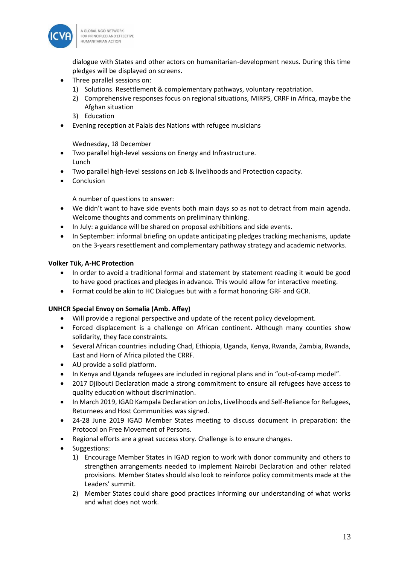

dialogue with States and other actors on humanitarian-development nexus. During this time pledges will be displayed on screens.

- Three parallel sessions on:
	- 1) Solutions. Resettlement & complementary pathways, voluntary repatriation.
	- 2) Comprehensive responses focus on regional situations, MIRPS, CRRF in Africa, maybe the Afghan situation
	- 3) Education
- Evening reception at Palais des Nations with refugee musicians

Wednesday, 18 December

- Two parallel high-level sessions on Energy and Infrastructure. Lunch
- Two parallel high-level sessions on Job & livelihoods and Protection capacity.
- Conclusion

A number of questions to answer:

- We didn't want to have side events both main days so as not to detract from main agenda. Welcome thoughts and comments on preliminary thinking.
- In July: a guidance will be shared on proposal exhibitions and side events.
- In September: informal briefing on update anticipating pledges tracking mechanisms, update on the 3-years resettlement and complementary pathway strategy and academic networks.

## **Volker Tük, A-HC Protection**

- In order to avoid a traditional formal and statement by statement reading it would be good to have good practices and pledges in advance. This would allow for interactive meeting.
- Format could be akin to HC Dialogues but with a format honoring GRF and GCR.

## **UNHCR Special Envoy on Somalia (Amb. Affey)**

- Will provide a regional perspective and update of the recent policy development.
- Forced displacement is a challenge on African continent. Although many counties show solidarity, they face constraints.
- Several African countries including Chad, Ethiopia, Uganda, Kenya, Rwanda, Zambia, Rwanda, East and Horn of Africa piloted the CRRF.
- AU provide a solid platform.
- In Kenya and Uganda refugees are included in regional plans and in "out-of-camp model".
- 2017 Djibouti Declaration made a strong commitment to ensure all refugees have access to quality education without discrimination.
- In March 2019, IGAD Kampala Declaration on Jobs, Livelihoods and Self-Reliance for Refugees, Returnees and Host Communities was signed.
- 24-28 June 2019 IGAD Member States meeting to discuss document in preparation: the Protocol on Free Movement of Persons.
- Regional efforts are a great success story. Challenge is to ensure changes.
- Suggestions:
	- 1) Encourage Member States in IGAD region to work with donor community and others to strengthen arrangements needed to implement Nairobi Declaration and other related provisions. Member States should also look to reinforce policy commitments made at the Leaders' summit.
	- 2) Member States could share good practices informing our understanding of what works and what does not work.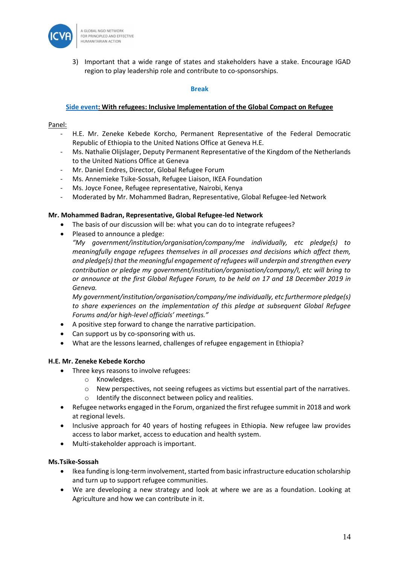

3) Important that a wide range of states and stakeholders have a stake. Encourage IGAD region to play leadership role and contribute to co-sponsorships.

#### **Break**

#### **[Side event:](https://www.unhcr.org/5d0cbb0f7) With refugees: Inclusive Implementation of the Global Compact on Refugee**

#### Panel:

- H.E. Mr. Zeneke Kebede Korcho, Permanent Representative of the Federal Democratic Republic of Ethiopia to the United Nations Office at Geneva H.E.
- Ms. Nathalie Olijslager, Deputy Permanent Representative of the Kingdom of the Netherlands to the United Nations Office at Geneva
- Mr. Daniel Endres, Director, Global Refugee Forum
- Ms. Annemieke Tsike-Sossah, Refugee Liaison, IKEA Foundation
- Ms. Joyce Fonee, Refugee representative, Nairobi, Kenya
- Moderated by Mr. Mohammed Badran, Representative, Global Refugee-led Network

#### **Mr. Mohammed Badran, Representative, Global Refugee-led Network**

- The basis of our discussion will be: what you can do to integrate refugees?
- Pleased to announce a pledge:

*"My government/institution/organisation/company/me individually, etc pledge(s) to meaningfully engage refugees themselves in all processes and decisions which affect them, and pledge(s) that the meaningful engagement of refugees will underpin and strengthen every contribution or pledge my government/institution/organisation/company/I, etc will bring to or announce at the first Global Refugee Forum, to be held on 17 and 18 December 2019 in Geneva.*

*My government/institution/organisation/company/me individually, etc furthermore pledge(s) to share experiences on the implementation of this pledge at subsequent Global Refugee Forums and/or high-level officials' meetings."*

- A positive step forward to change the narrative participation.
- Can support us by co-sponsoring with us.
- What are the lessons learned, challenges of refugee engagement in Ethiopia?

## **H.E. Mr. Zeneke Kebede Korcho**

- Three keys reasons to involve refugees:
	- o Knowledges.
	- o New perspectives, not seeing refugees as victims but essential part of the narratives.
	- o Identify the disconnect between policy and realities.
- Refugee networks engaged in the Forum, organized the first refugee summit in 2018 and work at regional levels.
- Inclusive approach for 40 years of hosting refugees in Ethiopia. New refugee law provides access to labor market, access to education and health system.
- Multi-stakeholder approach is important.

## **Ms.Tsike-Sossah**

- Ikea funding islong-term involvement, started from basic infrastructure education scholarship and turn up to support refugee communities.
- We are developing a new strategy and look at where we are as a foundation. Looking at Agriculture and how we can contribute in it.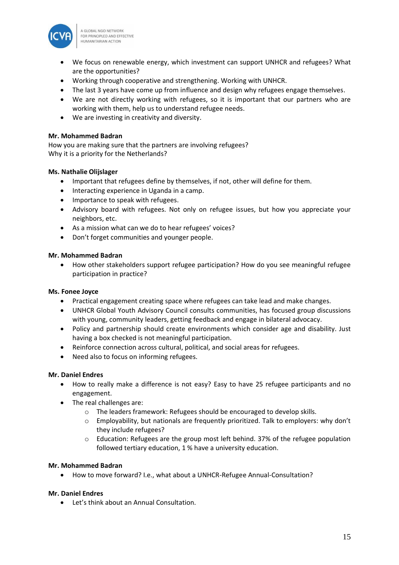

- We focus on renewable energy, which investment can support UNHCR and refugees? What are the opportunities?
- Working through cooperative and strengthening. Working with UNHCR.
- The last 3 years have come up from influence and design why refugees engage themselves.
- We are not directly working with refugees, so it is important that our partners who are working with them, help us to understand refugee needs.
- We are investing in creativity and diversity.

## **Mr. Mohammed Badran**

How you are making sure that the partners are involving refugees? Why it is a priority for the Netherlands?

## **Ms. Nathalie Olijslager**

- Important that refugees define by themselves, if not, other will define for them.
- Interacting experience in Uganda in a camp.
- Importance to speak with refugees.
- Advisory board with refugees. Not only on refugee issues, but how you appreciate your neighbors, etc.
- As a mission what can we do to hear refugees' voices?
- Don't forget communities and younger people.

## **Mr. Mohammed Badran**

• How other stakeholders support refugee participation? How do you see meaningful refugee participation in practice?

## **Ms. Fonee Joyce**

- Practical engagement creating space where refugees can take lead and make changes.
- UNHCR Global Youth Advisory Council consults communities, has focused group discussions with young, community leaders, getting feedback and engage in bilateral advocacy.
- Policy and partnership should create environments which consider age and disability. Just having a box checked is not meaningful participation.
- Reinforce connection across cultural, political, and social areas for refugees.
- Need also to focus on informing refugees.

## **Mr. Daniel Endres**

- How to really make a difference is not easy? Easy to have 25 refugee participants and no engagement.
- The real challenges are:
	- o The leaders framework: Refugees should be encouraged to develop skills.
	- o Employability, but nationals are frequently prioritized. Talk to employers: why don't they include refugees?
	- $\circ$  Education: Refugees are the group most left behind. 37% of the refugee population followed tertiary education, 1 % have a university education.

## **Mr. Mohammed Badran**

• How to move forward? I.e., what about a UNHCR-Refugee Annual-Consultation?

# **Mr. Daniel Endres**

• Let's think about an Annual Consultation.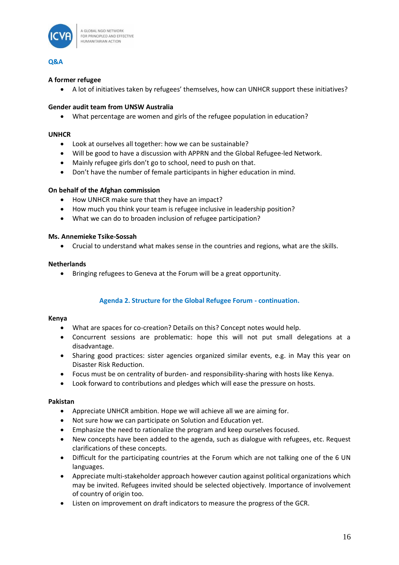

## **Q&A**

## **A former refugee**

• A lot of initiatives taken by refugees' themselves, how can UNHCR support these initiatives?

## **Gender audit team from UNSW Australia**

• What percentage are women and girls of the refugee population in education?

## **UNHCR**

- Look at ourselves all together: how we can be sustainable?
- Will be good to have a discussion with APPRN and the Global Refugee-led Network.
- Mainly refugee girls don't go to school, need to push on that.
- Don't have the number of female participants in higher education in mind.

## **On behalf of the Afghan commission**

- How UNHCR make sure that they have an impact?
- How much you think your team is refugee inclusive in leadership position?
- What we can do to broaden inclusion of refugee participation?

## **Ms. Annemieke Tsike-Sossah**

• Crucial to understand what makes sense in the countries and regions, what are the skills.

## **Netherlands**

• Bringing refugees to Geneva at the Forum will be a great opportunity.

# **Agenda 2. Structure for the Global Refugee Forum - continuation.**

## **Kenya**

- What are spaces for co-creation? Details on this? Concept notes would help.
- Concurrent sessions are problematic: hope this will not put small delegations at a disadvantage.
- Sharing good practices: sister agencies organized similar events, e.g. in May this year on Disaster Risk Reduction.
- Focus must be on centrality of burden- and responsibility-sharing with hosts like Kenya.
- Look forward to contributions and pledges which will ease the pressure on hosts.

## **Pakistan**

- Appreciate UNHCR ambition. Hope we will achieve all we are aiming for.
- Not sure how we can participate on Solution and Education yet.
- Emphasize the need to rationalize the program and keep ourselves focused.
- New concepts have been added to the agenda, such as dialogue with refugees, etc. Request clarifications of these concepts.
- Difficult for the participating countries at the Forum which are not talking one of the 6 UN languages.
- Appreciate multi-stakeholder approach however caution against political organizations which may be invited. Refugees invited should be selected objectively. Importance of involvement of country of origin too.
- Listen on improvement on draft indicators to measure the progress of the GCR.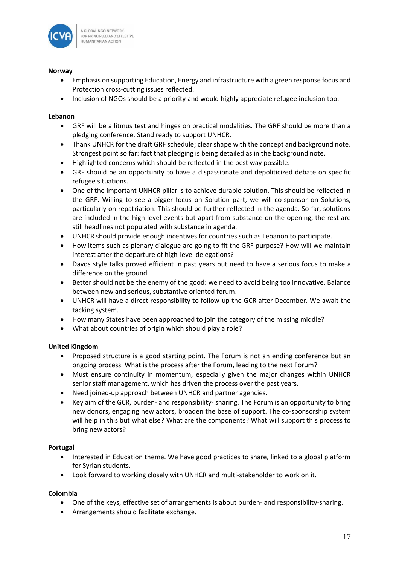

## **Norway**

- Emphasis on supporting Education, Energy and infrastructure with a green response focus and Protection cross-cutting issues reflected.
- Inclusion of NGOs should be a priority and would highly appreciate refugee inclusion too.

## **Lebanon**

- GRF will be a litmus test and hinges on practical modalities. The GRF should be more than a pledging conference. Stand ready to support UNHCR.
- Thank UNHCR for the draft GRF schedule; clear shape with the concept and background note. Strongest point so far: fact that pledging is being detailed as in the background note.
- Highlighted concerns which should be reflected in the best way possible.
- GRF should be an opportunity to have a dispassionate and depoliticized debate on specific refugee situations.
- One of the important UNHCR pillar is to achieve durable solution. This should be reflected in the GRF. Willing to see a bigger focus on Solution part, we will co-sponsor on Solutions, particularly on repatriation. This should be further reflected in the agenda. So far, solutions are included in the high-level events but apart from substance on the opening, the rest are still headlines not populated with substance in agenda.
- UNHCR should provide enough incentives for countries such as Lebanon to participate.
- How items such as plenary dialogue are going to fit the GRF purpose? How will we maintain interest after the departure of high-level delegations?
- Davos style talks proved efficient in past years but need to have a serious focus to make a difference on the ground.
- Better should not be the enemy of the good: we need to avoid being too innovative. Balance between new and serious, substantive oriented forum.
- UNHCR will have a direct responsibility to follow-up the GCR after December. We await the tacking system.
- How many States have been approached to join the category of the missing middle?
- What about countries of origin which should play a role?

# **United Kingdom**

- Proposed structure is a good starting point. The Forum is not an ending conference but an ongoing process. What is the process after the Forum, leading to the next Forum?
- Must ensure continuity in momentum, especially given the major changes within UNHCR senior staff management, which has driven the process over the past years.
- Need joined-up approach between UNHCR and partner agencies.
- Key aim of the GCR, burden- and responsibility- sharing. The Forum is an opportunity to bring new donors, engaging new actors, broaden the base of support. The co-sponsorship system will help in this but what else? What are the components? What will support this process to bring new actors?

## **Portugal**

- Interested in Education theme. We have good practices to share, linked to a global platform for Syrian students.
- Look forward to working closely with UNHCR and multi-stakeholder to work on it.

# **Colombia**

- One of the keys, effective set of arrangements is about burden- and responsibility-sharing.
- Arrangements should facilitate exchange.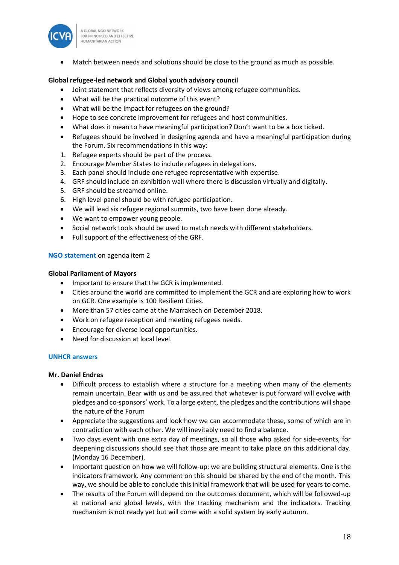

• Match between needs and solutions should be close to the ground as much as possible.

## **Global refugee-led network and Global youth advisory council**

- Joint statement that reflects diversity of views among refugee communities.
- What will be the practical outcome of this event?
- What will be the impact for refugees on the ground?
- Hope to see concrete improvement for refugees and host communities.
- What does it mean to have meaningful participation? Don't want to be a box ticked.
- Refugees should be involved in designing agenda and have a meaningful participation during the Forum. Six recommendations in this way:
- 1. Refugee experts should be part of the process.
- 2. Encourage Member States to include refugees in delegations.
- 3. Each panel should include one refugee representative with expertise.
- 4. GRF should include an exhibition wall where there is discussion virtually and digitally.
- 5. GRF should be streamed online.
- 6. High level panel should be with refugee participation.
- We will lead six refugee regional summits, two have been done already.
- We want to empower young people.
- Social network tools should be used to match needs with different stakeholders.
- Full support of the effectiveness of the GRF.

## **[NGO statement](https://www.icvanetwork.org/resources/grf-june-2019-ngo-statement-structure-grf)** on agenda item 2

## **Global Parliament of Mayors**

- Important to ensure that the GCR is implemented.
- Cities around the world are committed to implement the GCR and are exploring how to work on GCR. One example is 100 Resilient Cities.
- More than 57 cities came at the Marrakech on December 2018.
- Work on refugee reception and meeting refugees needs.
- Encourage for diverse local opportunities.
- Need for discussion at local level.

## **UNHCR answers**

## **Mr. Daniel Endres**

- Difficult process to establish where a structure for a meeting when many of the elements remain uncertain. Bear with us and be assured that whatever is put forward will evolve with pledges and co-sponsors' work. To a large extent, the pledges and the contributions will shape the nature of the Forum
- Appreciate the suggestions and look how we can accommodate these, some of which are in contradiction with each other. We will inevitably need to find a balance.
- Two days event with one extra day of meetings, so all those who asked for side-events, for deepening discussions should see that those are meant to take place on this additional day. (Monday 16 December).
- Important question on how we will follow-up: we are building structural elements. One is the indicators framework. Any comment on this should be shared by the end of the month. This way, we should be able to conclude this initial framework that will be used for years to come.
- The results of the Forum will depend on the outcomes document, which will be followed-up at national and global levels, with the tracking mechanism and the indicators. Tracking mechanism is not ready yet but will come with a solid system by early autumn.